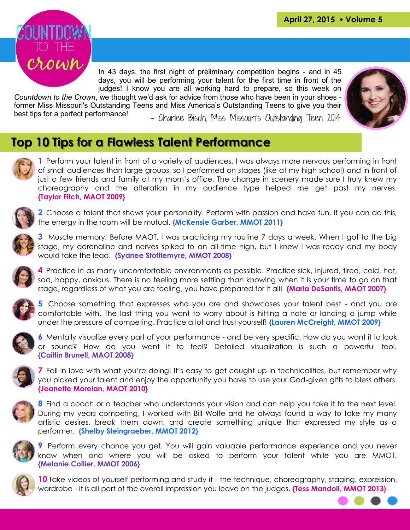

In 43 days, the first night of preliminary competition begins - and in 45 days, you will be performing your talent for the first time in front of the judges! I know you are all working hard to prepare, so this week on

*Countdown to the Crown*, we thought we'd ask for advice from those who have been in your shoes former Miss Missouri's Outstanding Teens and Miss America's Outstanding Teens to give you their best tips for a perfect performance! - Charlee Bisch. Miss Missouri's Outstandina Teen 2014



### **Top 10 Tips for a Flawless Talent Performance**

**1** Perform your talent in front of a variety of audiences. I was always more nervous performing in front of small audiences than large groups, so I performed on stages (like at my high school) and in front of just a few friends and family at my mom's office. The change in scenery made sure I truly knew my choreography and the alteration in my audience type helped me get past my nerves. **{Taylor Fitch, MAOT 2009}**



**2** Choose a talent that shows your personality. Perform with passion and have fun. If you can do this, the energy in the room will be mutual. **{McKensie Garber, MMOT 2011}**



**3** Muscle memory! Before MAOT, I was practicing my routine 7 days a week. When I got to the big stage, my adrenaline and nerves spiked to an all-time high, but I knew I was ready and my body would take the lead. **{Sydnee Stottlemyre, MMOT 2008}**



**4** Practice in as many uncomfortable environments as possible. Practice sick, injured, tired, cold, hot, sad, happy, anxious. There is no feeling more settling than knowing when it is your time to go on that stage, regardless of what you are feeling, you have prepared for it all! **{Maria DeSantis, MAOT 2007}**



**5** Choose something that expresses who you are and showcases your talent best - and you are comfortable with. The last thing you want to worry about is hitting a note or landing a jump while under the pressure of competing. Practice a lot and trust yourself! **{Lauren McCreight, MMOT 2009}**



**6** Mentally visualize every part of your performance - and be very specific. How do you want it to look or sound? How do you want it to feel? Detailed visualization is such a powerful tool. **{Caitlin Brunell, MAOT 2008}**



**7** Fall in love with what you're doing! It's easy to get caught up in technicalities, but remember why you picked your talent and enjoy the opportunity you have to use your God-given gifts to bless others. **{Jeanette Morelan, MAOT 2010}**



**8** Find a coach or a teacher who understands your vision and can help you take it to the next level. During my years competing, I worked with Bill Wolfe and he always found a way to take my many artistic desires, break them down, and create something unique that expressed my style as a performer. **{Shelby Steingraeber, MMOT 2012}**



**9** Perform every chance you get. You will gain valuable performance experience and you never know when and where you will be asked to perform your talent while you are MMOT. **{Melanie Collier, MMOT 2006}**



**10** Take videos of yourself performing and study it - the technique, choreography, staging, expression, wardrobe - it is all part of the overall impression you leave on the judges. **{Tess Mandoli, MMOT 2013}**